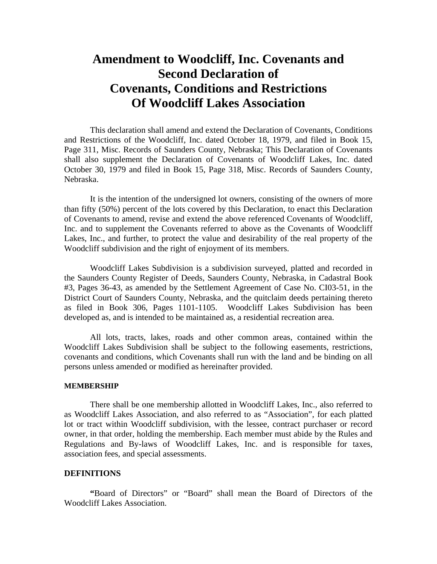# **Amendment to Woodcliff, Inc. Covenants and Second Declaration of Covenants, Conditions and Restrictions Of Woodcliff Lakes Association**

This declaration shall amend and extend the Declaration of Covenants, Conditions and Restrictions of the Woodcliff, Inc. dated October 18, 1979, and filed in Book 15, Page 311, Misc. Records of Saunders County, Nebraska; This Declaration of Covenants shall also supplement the Declaration of Covenants of Woodcliff Lakes, Inc. dated October 30, 1979 and filed in Book 15, Page 318, Misc. Records of Saunders County, Nebraska.

It is the intention of the undersigned lot owners, consisting of the owners of more than fifty (50%) percent of the lots covered by this Declaration, to enact this Declaration of Covenants to amend, revise and extend the above referenced Covenants of Woodcliff, Inc. and to supplement the Covenants referred to above as the Covenants of Woodcliff Lakes, Inc., and further, to protect the value and desirability of the real property of the Woodcliff subdivision and the right of enjoyment of its members.

Woodcliff Lakes Subdivision is a subdivision surveyed, platted and recorded in the Saunders County Register of Deeds, Saunders County, Nebraska, in Cadastral Book #3, Pages 36-43, as amended by the Settlement Agreement of Case No. CI03-51, in the District Court of Saunders County, Nebraska, and the quitclaim deeds pertaining thereto as filed in Book 306, Pages 1101-1105. Woodcliff Lakes Subdivision has been developed as, and is intended to be maintained as, a residential recreation area.

 All lots, tracts, lakes, roads and other common areas, contained within the Woodcliff Lakes Subdivision shall be subject to the following easements, restrictions, covenants and conditions, which Covenants shall run with the land and be binding on all persons unless amended or modified as hereinafter provided.

## **MEMBERSHIP**

There shall be one membership allotted in Woodcliff Lakes, Inc., also referred to as Woodcliff Lakes Association, and also referred to as "Association", for each platted lot or tract within Woodcliff subdivision, with the lessee, contract purchaser or record owner, in that order, holding the membership. Each member must abide by the Rules and Regulations and By-laws of Woodcliff Lakes, Inc. and is responsible for taxes, association fees, and special assessments.

#### **DEFINITIONS**

 **"**Board of Directors" or "Board" shall mean the Board of Directors of the Woodcliff Lakes Association.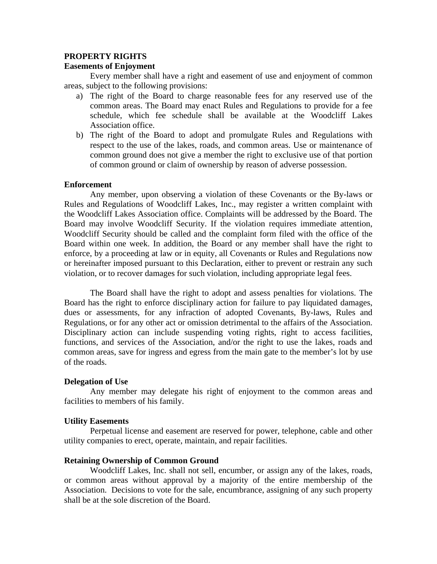## **PROPERTY RIGHTS**

## **Easements of Enjoyment**

Every member shall have a right and easement of use and enjoyment of common areas, subject to the following provisions:

- a) The right of the Board to charge reasonable fees for any reserved use of the common areas. The Board may enact Rules and Regulations to provide for a fee schedule, which fee schedule shall be available at the Woodcliff Lakes Association office.
- b) The right of the Board to adopt and promulgate Rules and Regulations with respect to the use of the lakes, roads, and common areas. Use or maintenance of common ground does not give a member the right to exclusive use of that portion of common ground or claim of ownership by reason of adverse possession.

## **Enforcement**

Any member, upon observing a violation of these Covenants or the By-laws or Rules and Regulations of Woodcliff Lakes, Inc., may register a written complaint with the Woodcliff Lakes Association office. Complaints will be addressed by the Board. The Board may involve Woodcliff Security. If the violation requires immediate attention, Woodcliff Security should be called and the complaint form filed with the office of the Board within one week. In addition, the Board or any member shall have the right to enforce, by a proceeding at law or in equity, all Covenants or Rules and Regulations now or hereinafter imposed pursuant to this Declaration, either to prevent or restrain any such violation, or to recover damages for such violation, including appropriate legal fees.

The Board shall have the right to adopt and assess penalties for violations. The Board has the right to enforce disciplinary action for failure to pay liquidated damages, dues or assessments, for any infraction of adopted Covenants, By-laws, Rules and Regulations, or for any other act or omission detrimental to the affairs of the Association. Disciplinary action can include suspending voting rights, right to access facilities, functions, and services of the Association, and/or the right to use the lakes, roads and common areas, save for ingress and egress from the main gate to the member's lot by use of the roads.

## **Delegation of Use**

Any member may delegate his right of enjoyment to the common areas and facilities to members of his family.

## **Utility Easements**

Perpetual license and easement are reserved for power, telephone, cable and other utility companies to erect, operate, maintain, and repair facilities.

## **Retaining Ownership of Common Ground**

Woodcliff Lakes, Inc. shall not sell, encumber, or assign any of the lakes, roads, or common areas without approval by a majority of the entire membership of the Association. Decisions to vote for the sale, encumbrance, assigning of any such property shall be at the sole discretion of the Board.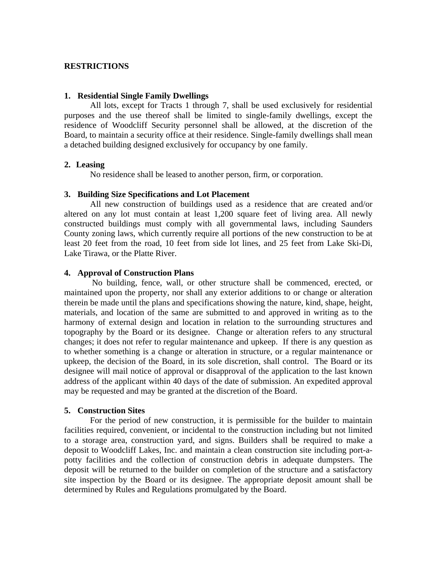## **RESTRICTIONS**

#### **1. Residential Single Family Dwellings**

All lots, except for Tracts 1 through 7, shall be used exclusively for residential purposes and the use thereof shall be limited to single-family dwellings, except the residence of Woodcliff Security personnel shall be allowed, at the discretion of the Board, to maintain a security office at their residence. Single-family dwellings shall mean a detached building designed exclusively for occupancy by one family.

## **2. Leasing**

No residence shall be leased to another person, firm, or corporation.

## **3. Building Size Specifications and Lot Placement**

All new construction of buildings used as a residence that are created and/or altered on any lot must contain at least 1,200 square feet of living area. All newly constructed buildings must comply with all governmental laws, including Saunders County zoning laws, which currently require all portions of the new construction to be at least 20 feet from the road, 10 feet from side lot lines, and 25 feet from Lake Ski-Di, Lake Tirawa, or the Platte River.

## **4. Approval of Construction Plans**

 No building, fence, wall, or other structure shall be commenced, erected, or maintained upon the property, nor shall any exterior additions to or change or alteration therein be made until the plans and specifications showing the nature, kind, shape, height, materials, and location of the same are submitted to and approved in writing as to the harmony of external design and location in relation to the surrounding structures and topography by the Board or its designee. Change or alteration refers to any structural changes; it does not refer to regular maintenance and upkeep. If there is any question as to whether something is a change or alteration in structure, or a regular maintenance or upkeep, the decision of the Board, in its sole discretion, shall control. The Board or its designee will mail notice of approval or disapproval of the application to the last known address of the applicant within 40 days of the date of submission. An expedited approval may be requested and may be granted at the discretion of the Board.

## **5. Construction Sites**

For the period of new construction, it is permissible for the builder to maintain facilities required, convenient, or incidental to the construction including but not limited to a storage area, construction yard, and signs. Builders shall be required to make a deposit to Woodcliff Lakes, Inc. and maintain a clean construction site including port-apotty facilities and the collection of construction debris in adequate dumpsters. The deposit will be returned to the builder on completion of the structure and a satisfactory site inspection by the Board or its designee. The appropriate deposit amount shall be determined by Rules and Regulations promulgated by the Board.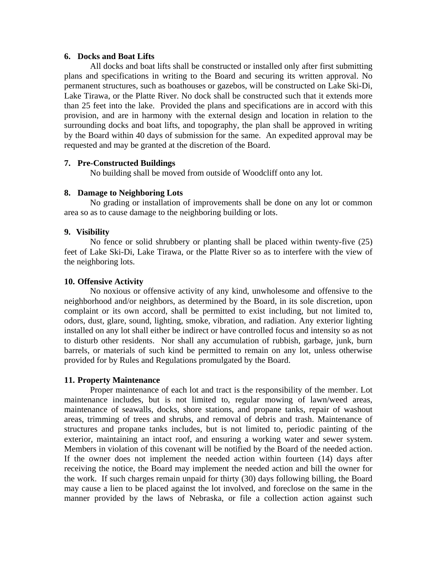## **6. Docks and Boat Lifts**

All docks and boat lifts shall be constructed or installed only after first submitting plans and specifications in writing to the Board and securing its written approval. No permanent structures, such as boathouses or gazebos, will be constructed on Lake Ski-Di, Lake Tirawa, or the Platte River. No dock shall be constructed such that it extends more than 25 feet into the lake. Provided the plans and specifications are in accord with this provision, and are in harmony with the external design and location in relation to the surrounding docks and boat lifts, and topography, the plan shall be approved in writing by the Board within 40 days of submission for the same. An expedited approval may be requested and may be granted at the discretion of the Board.

## **7. Pre-Constructed Buildings**

No building shall be moved from outside of Woodcliff onto any lot.

# **8. Damage to Neighboring Lots**

No grading or installation of improvements shall be done on any lot or common area so as to cause damage to the neighboring building or lots.

# **9. Visibility**

No fence or solid shrubbery or planting shall be placed within twenty-five (25) feet of Lake Ski-Di, Lake Tirawa, or the Platte River so as to interfere with the view of the neighboring lots.

## **10. Offensive Activity**

No noxious or offensive activity of any kind, unwholesome and offensive to the neighborhood and/or neighbors, as determined by the Board, in its sole discretion, upon complaint or its own accord, shall be permitted to exist including, but not limited to, odors, dust, glare, sound, lighting, smoke, vibration, and radiation. Any exterior lighting installed on any lot shall either be indirect or have controlled focus and intensity so as not to disturb other residents. Nor shall any accumulation of rubbish, garbage, junk, burn barrels, or materials of such kind be permitted to remain on any lot, unless otherwise provided for by Rules and Regulations promulgated by the Board.

# **11. Property Maintenance**

Proper maintenance of each lot and tract is the responsibility of the member. Lot maintenance includes, but is not limited to, regular mowing of lawn/weed areas, maintenance of seawalls, docks, shore stations, and propane tanks, repair of washout areas, trimming of trees and shrubs, and removal of debris and trash. Maintenance of structures and propane tanks includes, but is not limited to, periodic painting of the exterior, maintaining an intact roof, and ensuring a working water and sewer system. Members in violation of this covenant will be notified by the Board of the needed action. If the owner does not implement the needed action within fourteen (14) days after receiving the notice, the Board may implement the needed action and bill the owner for the work. If such charges remain unpaid for thirty (30) days following billing, the Board may cause a lien to be placed against the lot involved, and foreclose on the same in the manner provided by the laws of Nebraska, or file a collection action against such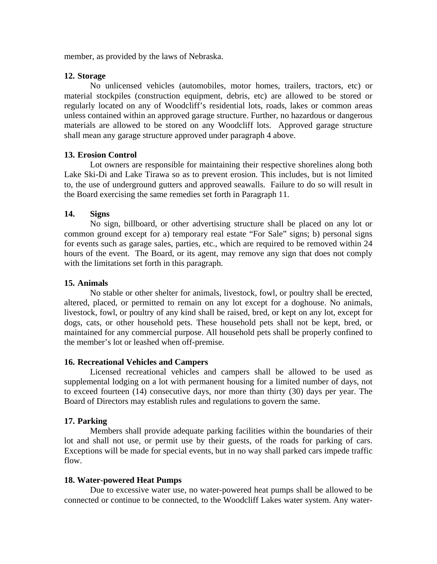member, as provided by the laws of Nebraska.

## **12. Storage**

No unlicensed vehicles (automobiles, motor homes, trailers, tractors, etc) or material stockpiles (construction equipment, debris, etc) are allowed to be stored or regularly located on any of Woodcliff's residential lots, roads, lakes or common areas unless contained within an approved garage structure. Further, no hazardous or dangerous materials are allowed to be stored on any Woodcliff lots. Approved garage structure shall mean any garage structure approved under paragraph 4 above.

## **13. Erosion Control**

Lot owners are responsible for maintaining their respective shorelines along both Lake Ski-Di and Lake Tirawa so as to prevent erosion. This includes, but is not limited to, the use of underground gutters and approved seawalls. Failure to do so will result in the Board exercising the same remedies set forth in Paragraph 11.

## **14. Signs**

No sign, billboard, or other advertising structure shall be placed on any lot or common ground except for a) temporary real estate "For Sale" signs; b) personal signs for events such as garage sales, parties, etc., which are required to be removed within 24 hours of the event. The Board, or its agent, may remove any sign that does not comply with the limitations set forth in this paragraph.

## **15. Animals**

No stable or other shelter for animals, livestock, fowl, or poultry shall be erected, altered, placed, or permitted to remain on any lot except for a doghouse. No animals, livestock, fowl, or poultry of any kind shall be raised, bred, or kept on any lot, except for dogs, cats, or other household pets. These household pets shall not be kept, bred, or maintained for any commercial purpose. All household pets shall be properly confined to the member's lot or leashed when off-premise.

## **16. Recreational Vehicles and Campers**

Licensed recreational vehicles and campers shall be allowed to be used as supplemental lodging on a lot with permanent housing for a limited number of days, not to exceed fourteen (14) consecutive days, nor more than thirty (30) days per year. The Board of Directors may establish rules and regulations to govern the same.

## **17. Parking**

Members shall provide adequate parking facilities within the boundaries of their lot and shall not use, or permit use by their guests, of the roads for parking of cars. Exceptions will be made for special events, but in no way shall parked cars impede traffic flow.

## **18. Water-powered Heat Pumps**

 Due to excessive water use, no water-powered heat pumps shall be allowed to be connected or continue to be connected, to the Woodcliff Lakes water system. Any water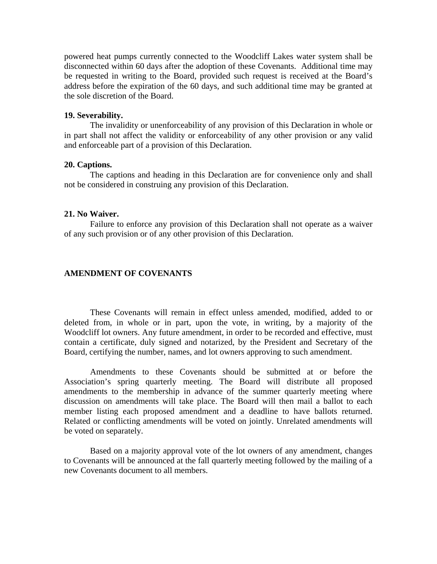powered heat pumps currently connected to the Woodcliff Lakes water system shall be disconnected within 60 days after the adoption of these Covenants. Additional time may be requested in writing to the Board, provided such request is received at the Board's address before the expiration of the 60 days, and such additional time may be granted at the sole discretion of the Board.

#### **19. Severability.**

The invalidity or unenforceability of any provision of this Declaration in whole or in part shall not affect the validity or enforceability of any other provision or any valid and enforceable part of a provision of this Declaration.

## **20. Captions.**

 The captions and heading in this Declaration are for convenience only and shall not be considered in construing any provision of this Declaration.

#### **21. No Waiver.**

 Failure to enforce any provision of this Declaration shall not operate as a waiver of any such provision or of any other provision of this Declaration.

#### **AMENDMENT OF COVENANTS**

These Covenants will remain in effect unless amended, modified, added to or deleted from, in whole or in part, upon the vote, in writing, by a majority of the Woodcliff lot owners. Any future amendment, in order to be recorded and effective, must contain a certificate, duly signed and notarized, by the President and Secretary of the Board, certifying the number, names, and lot owners approving to such amendment.

Amendments to these Covenants should be submitted at or before the Association's spring quarterly meeting. The Board will distribute all proposed amendments to the membership in advance of the summer quarterly meeting where discussion on amendments will take place. The Board will then mail a ballot to each member listing each proposed amendment and a deadline to have ballots returned. Related or conflicting amendments will be voted on jointly. Unrelated amendments will be voted on separately.

Based on a majority approval vote of the lot owners of any amendment, changes to Covenants will be announced at the fall quarterly meeting followed by the mailing of a new Covenants document to all members.